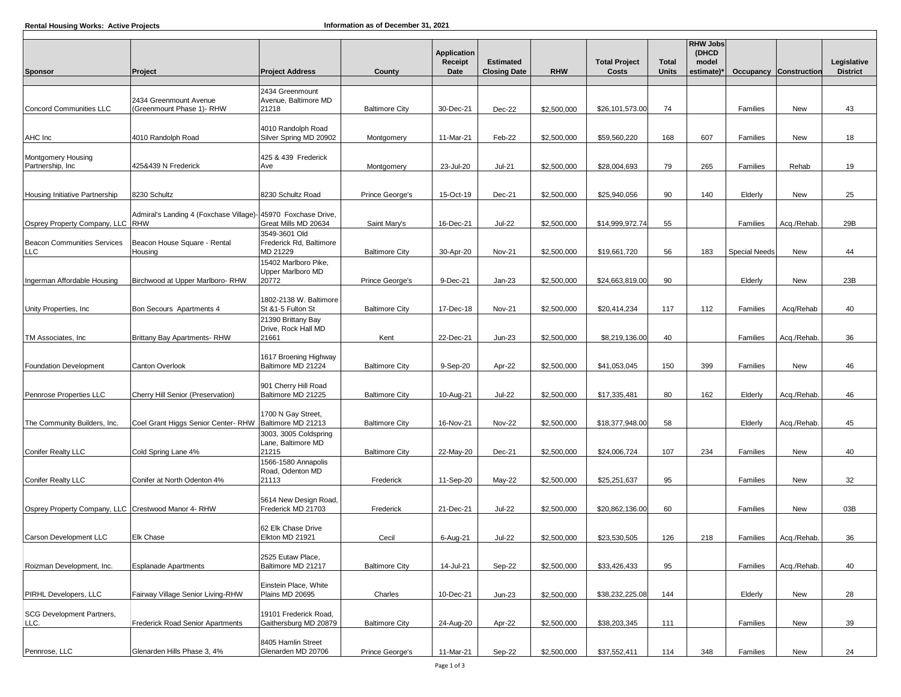|                                                     |                                                               |                                                      |                       |                                |                                         |             |                               | <b>RHW Jobs</b>              |                              |                      |                        |                                |
|-----------------------------------------------------|---------------------------------------------------------------|------------------------------------------------------|-----------------------|--------------------------------|-----------------------------------------|-------------|-------------------------------|------------------------------|------------------------------|----------------------|------------------------|--------------------------------|
| <b>Sponsor</b>                                      | Project                                                       | <b>Project Address</b>                               | County                | Application<br>Receipt<br>Date | <b>Estimated</b><br><b>Closing Date</b> | <b>RHW</b>  | <b>Total Project</b><br>Costs | <b>Total</b><br><b>Units</b> | (DHCD<br>model<br>estimate)* |                      | Occupancy Construction | Legislative<br><b>District</b> |
|                                                     |                                                               |                                                      |                       |                                |                                         |             |                               |                              |                              |                      |                        |                                |
|                                                     | 2434 Greenmount Avenue                                        | 2434 Greenmount<br>Avenue, Baltimore MD              |                       |                                |                                         |             |                               |                              |                              |                      |                        |                                |
| Concord Communities LLC                             | Greenmount Phase 1)- RHW                                      | 21218                                                | <b>Baltimore City</b> | 30-Dec-21                      | $Dec-22$                                | \$2,500,000 | \$26,101,573.00               | 74                           |                              | Families             | New                    | 43                             |
| AHC Inc                                             | 4010 Randolph Road                                            | 4010 Randolph Road<br>Silver Spring MD 20902         | Montgomery            | 11-Mar-21                      | Feb-22                                  | \$2,500,000 | \$59,560,220                  | 168                          | 607                          | Families             | New                    | 18                             |
| Montgomery Housing<br>Partnership, Inc              | 425&439 N Frederick                                           | 425 & 439 Frederick<br>Ave                           | Montgomery            | 23-Jul-20                      | <b>Jul-21</b>                           | \$2,500,000 | \$28,004,693                  | 79                           | 265                          | Families             | Rehab                  | 19                             |
| Housing Initiative Partnership                      | 8230 Schultz                                                  | 8230 Schultz Road                                    | Prince George's       | 15-Oct-19                      | Dec-21                                  | \$2,500,000 | \$25,940,056                  | 90                           | 140                          | Elderly              | New                    | 25                             |
|                                                     | Admiral's Landing 4 (Foxchase Village)- 45970 Foxchase Drive, |                                                      |                       |                                |                                         |             |                               |                              |                              |                      |                        |                                |
| Osprey Property Company, LLC                        | <b>RHW</b>                                                    | Great Mills MD 20634<br>3549-3601 Old                | Saint Mary's          | 16-Dec-21                      | <b>Jul-22</b>                           | \$2,500,000 | \$14,999,972.74               | 55                           |                              | Families             | Acq./Rehab.            | 29B                            |
| <b>Beacon Communities Services</b><br>LLC           | Beacon House Square - Rental<br>Housing                       | Frederick Rd, Baltimore<br>MD 21229                  | <b>Baltimore City</b> | 30-Apr-20                      | Nov-21                                  | \$2,500,000 | \$19,661,720                  | 56                           | 183                          | <b>Special Needs</b> | New                    | 44                             |
| Ingerman Affordable Housing                         | Birchwood at Upper Marlboro-RHW                               | 15402 Marlboro Pike,<br>Upper Marlboro MD<br>20772   | Prince George's       | 9-Dec-21                       | $Jan-23$                                | \$2,500,000 | \$24,663,819.00               | 90                           |                              | Elderly              | New                    | 23B                            |
| Unity Properties, Inc.                              | Bon Secours Apartments 4                                      | 1802-2138 W. Baltimore<br>St &1-5 Fulton St          | <b>Baltimore City</b> | 17-Dec-18                      | <b>Nov-21</b>                           | \$2,500,000 | \$20,414,234                  | 117                          | 112                          | Families             | Acq/Rehab              | 40                             |
| TM Associates, Inc.                                 | Brittany Bay Apartments-RHW                                   | 21390 Brittany Bay<br>Drive, Rock Hall MD<br>21661   | Kent                  | 22-Dec-21                      | $Jun-23$                                | \$2,500,000 | \$8,219,136.00                | 40                           |                              | Families             | Acq./Rehab.            | 36                             |
|                                                     |                                                               |                                                      |                       |                                |                                         |             |                               |                              |                              |                      |                        |                                |
| <b>Foundation Development</b>                       | Canton Overlook                                               | 1617 Broening Highway<br>Baltimore MD 21224          | <b>Baltimore City</b> | 9-Sep-20                       | Apr-22                                  | \$2,500,000 | \$41,053,045                  | 150                          | 399                          | Families             | New                    | 46                             |
| Pennrose Properties LLC                             | Cherry Hill Senior (Preservation)                             | 901 Cherry Hill Road<br>Baltimore MD 21225           | <b>Baltimore City</b> | 10-Aug-21                      | <b>Jul-22</b>                           | \$2,500,000 | \$17,335,481                  | 80                           | 162                          | Elderly              | Acq./Rehab.            | 46                             |
| The Community Builders, Inc.                        | Coel Grant Higgs Senior Center-RHW                            | 1700 N Gay Street,<br>Baltimore MD 21213             | <b>Baltimore City</b> | 16-Nov-21                      | Nov-22                                  | \$2,500,000 | \$18,377,948.00               | 58                           |                              | Elderly              | Acq./Rehab.            | 45                             |
| <b>Conifer Realty LLC</b>                           | Cold Spring Lane 4%                                           | 3003, 3005 Coldspring<br>Lane, Baltimore MD<br>21215 | <b>Baltimore City</b> | 22-May-20                      | Dec-21                                  | \$2,500,000 | \$24,006,724                  | 107                          | 234                          | Families             | New                    | 40                             |
|                                                     |                                                               | 1566-1580 Annapolis<br>Road, Odenton MD              |                       |                                |                                         |             |                               |                              |                              |                      |                        |                                |
| <b>Conifer Realty LLC</b>                           | Conifer at North Odenton 4%                                   | 21113                                                | Frederick             | 11-Sep-20                      | May-22                                  | \$2,500,000 | \$25,251,637                  | 95                           |                              | Families             | New                    | 32                             |
| Osprey Property Company, LLC Crestwood Manor 4- RHW |                                                               | 5614 New Design Road,<br>Frederick MD 21703          | Frederick             | 21-Dec-21                      | <b>Jul-22</b>                           | \$2,500,000 | \$20,862,136.00               | 60                           |                              | Families             | New                    | 03B                            |
| Carson Development LLC                              | Elk Chase                                                     | 62 Elk Chase Drive<br>Elkton MD 21921                | Cecil                 | 6-Aug-21                       | <b>Jul-22</b>                           | \$2,500,000 | \$23,530,505                  | 126                          | 218                          | Families             | Acq./Rehab.            | 36                             |
| Roizman Development, Inc.                           | <b>Esplanade Apartments</b>                                   | 2525 Eutaw Place,<br>Baltimore MD 21217              | <b>Baltimore City</b> | 14-Jul-21                      | Sep-22                                  | \$2,500,000 | \$33,426,433                  | 95                           |                              | Families             | Acq./Rehab.            | 40                             |
| PIRHL Developers, LLC                               | Fairway Village Senior Living-RHW                             | Einstein Place, White<br>Plains MD 20695             | Charles               | 10-Dec-21                      | $Jun-23$                                | \$2,500,000 | \$38,232,225.08               | 144                          |                              | Elderly              | New                    | 28                             |
|                                                     |                                                               |                                                      |                       |                                |                                         |             |                               |                              |                              |                      |                        |                                |
| <b>SCG Development Partners,</b><br>LLC.            | Frederick Road Senior Apartments                              | 19101 Frederick Road,<br>Gaithersburg MD 20879       | <b>Baltimore City</b> | 24-Aug-20                      | Apr-22                                  | \$2,500,000 | \$38,203,345                  | 111                          |                              | Families             | New                    | 39                             |
| Pennrose, LLC                                       | Glenarden Hills Phase 3, 4%                                   | 8405 Hamlin Street<br>Glenarden MD 20706             | Prince George's       | 11-Mar-21                      | Sep-22                                  | \$2,500,000 | \$37,552,411                  | 114                          | 348                          | Families             | New                    | 24                             |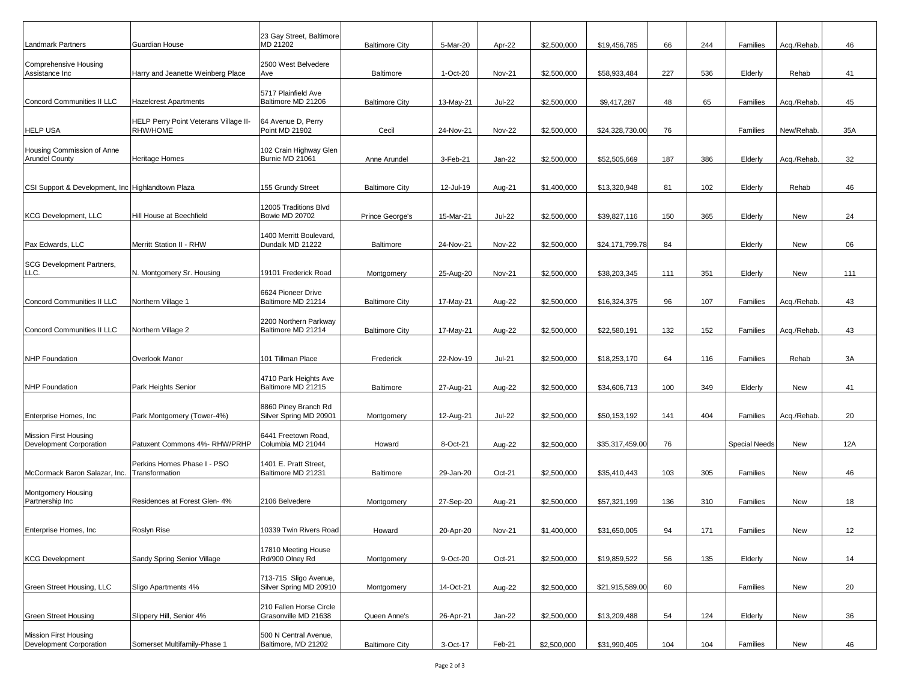| <b>Landmark Partners</b>                                | Guardian House                                | 23 Gay Street, Baltimore<br>MD 21202            | <b>Baltimore City</b> | 5-Mar-20  | Apr-22        | \$2,500,000 | \$19,456,785    | 66  | 244 | Families             | Acq./Rehab. | 46  |
|---------------------------------------------------------|-----------------------------------------------|-------------------------------------------------|-----------------------|-----------|---------------|-------------|-----------------|-----|-----|----------------------|-------------|-----|
| Comprehensive Housing<br>Assistance Inc                 | Harry and Jeanette Weinberg Place             | 2500 West Belvedere<br>Ave                      | <b>Baltimore</b>      | 1-Oct-20  | <b>Nov-21</b> | \$2,500,000 | \$58,933,484    | 227 | 536 | Elderly              | Rehab       | 41  |
| Concord Communities II LLC                              | <b>Hazelcrest Apartments</b>                  | 5717 Plainfield Ave<br>Baltimore MD 21206       | <b>Baltimore City</b> | 13-May-21 | <b>Jul-22</b> | \$2,500,000 | \$9,417,287     | 48  | 65  | Families             | Acq./Rehab. | 45  |
|                                                         | HELP Perry Point Veterans Village II-         | 64 Avenue D, Perry                              |                       |           |               |             |                 |     |     |                      |             |     |
| <b>HELP USA</b>                                         | RHW/HOME                                      | Point MD 21902                                  | Cecil                 | 24-Nov-21 | <b>Nov-22</b> | \$2,500,000 | \$24,328,730.00 | 76  |     | Families             | New/Rehab.  | 35A |
| Housing Commission of Anne<br><b>Arundel County</b>     | <b>Heritage Homes</b>                         | 102 Crain Highway Glen<br>Burnie MD 21061       | Anne Arundel          | 3-Feb-21  | Jan-22        | \$2,500,000 | \$52,505,669    | 187 | 386 | Elderly              | Acq./Rehab. | 32  |
| CSI Support & Development, Inc Highlandtown Plaza       |                                               | 155 Grundy Street                               | <b>Baltimore City</b> | 12-Jul-19 | Aug-21        | \$1,400,000 | \$13,320,948    | 81  | 102 | Elderly              | Rehab       | 46  |
| <b>KCG Development, LLC</b>                             | Hill House at Beechfield                      | 12005 Traditions Blvd<br>Bowie MD 20702         | Prince George's       | 15-Mar-21 | <b>Jul-22</b> | \$2,500,000 | \$39,827,116    | 150 | 365 | Elderly              | New         | 24  |
| Pax Edwards, LLC                                        | Merritt Station II - RHW                      | 1400 Merritt Boulevard,<br>Dundalk MD 21222     | Baltimore             | 24-Nov-21 | <b>Nov-22</b> | \$2,500,000 | \$24,171,799.78 | 84  |     | Elderly              | New         | 06  |
| SCG Development Partners,<br>LLC.                       | N. Montgomery Sr. Housing                     | 19101 Frederick Road                            | Montgomery            | 25-Aug-20 | <b>Nov-21</b> | \$2,500,000 | \$38,203,345    | 111 | 351 | Elderly              | New         | 111 |
|                                                         |                                               |                                                 |                       |           |               |             |                 |     |     |                      |             |     |
| Concord Communities II LLC                              | Northern Village 1                            | 6624 Pioneer Drive<br>Baltimore MD 21214        | <b>Baltimore City</b> | 17-May-21 | Aug-22        | \$2,500,000 | \$16,324,375    | 96  | 107 | Families             | Acq./Rehab. | 43  |
| Concord Communities II LLC                              | Northern Village 2                            | 2200 Northern Parkway<br>Baltimore MD 21214     | <b>Baltimore City</b> | 17-May-21 | Aug-22        | \$2,500,000 | \$22,580,191    | 132 | 152 | Families             | Acq./Rehab. | 43  |
| <b>NHP Foundation</b>                                   | Overlook Manor                                | 101 Tillman Place                               | Frederick             | 22-Nov-19 | <b>Jul-21</b> | \$2,500,000 | \$18,253,170    | 64  | 116 | Families             | Rehab       | 3A  |
| <b>NHP Foundation</b>                                   | Park Heights Senior                           | 4710 Park Heights Ave<br>Baltimore MD 21215     | Baltimore             | 27-Aug-21 | Aug-22        | \$2,500,000 | \$34,606,713    | 100 | 349 | Elderly              | New         | 41  |
| Enterprise Homes, Inc.                                  | Park Montgomery (Tower-4%)                    | 8860 Piney Branch Rd<br>Silver Spring MD 20901  | Montgomery            | 12-Aug-21 | <b>Jul-22</b> | \$2,500,000 | \$50,153,192    | 141 | 404 | Families             | Acq./Rehab. | 20  |
| <b>Mission First Housing</b><br>Development Corporation | Patuxent Commons 4%- RHW/PRHP                 | 6441 Freetown Road,<br>Columbia MD 21044        | Howard                | 8-Oct-21  | Aug-22        | \$2,500,000 | \$35,317,459.00 | 76  |     | <b>Special Needs</b> | New         | 12A |
| McCormack Baron Salazar, Inc.                           | Perkins Homes Phase I - PSO<br>Transformation | 1401 E. Pratt Street,<br>Baltimore MD 21231     | Baltimore             | 29-Jan-20 | Oct-21        | \$2,500,000 | \$35,410,443    | 103 | 305 | Families             | New         | 46  |
| Montgomery Housing<br>Partnership Inc                   | Residences at Forest Glen- 4%                 | 2106 Belvedere                                  | Montgomery            | 27-Sep-20 | Aug-21        | \$2,500,000 | \$57,321,199    | 136 | 310 | Families             | New         | 18  |
| Enterprise Homes, Inc                                   | Roslyn Rise                                   | 10339 Twin Rivers Road                          | Howard                | 20-Apr-20 | <b>Nov-21</b> | \$1,400,000 | \$31,650,005    | 94  | 171 | Families             | New         | 12  |
| <b>KCG Development</b>                                  | Sandy Spring Senior Village                   | 17810 Meeting House<br>Rd/900 Olney Rd          | Montgomery            | 9-Oct-20  | Oct-21        | \$2,500,000 | \$19,859,522    | 56  | 135 | Elderly              | New         | 14  |
| Green Street Housing, LLC                               | Sligo Apartments 4%                           | 713-715 Sligo Avenue,<br>Silver Spring MD 20910 | Montgomery            | 14-Oct-21 | Aug-22        | \$2,500,000 | \$21,915,589.00 | 60  |     | Families             | New         | 20  |
| <b>Green Street Housing</b>                             | Slippery Hill, Senior 4%                      | 210 Fallen Horse Circle<br>Grasonville MD 21638 | Queen Anne's          | 26-Apr-21 | Jan-22        | \$2,500,000 | \$13,209,488    | 54  | 124 |                      |             | 36  |
|                                                         |                                               |                                                 |                       |           |               |             |                 |     |     | Elderly              | New         |     |
| <b>Mission First Housing</b><br>Development Corporation | Somerset Multifamily-Phase 1                  | 500 N Central Avenue,<br>Baltimore, MD 21202    | <b>Baltimore City</b> | 3-Oct-17  | Feb-21        | \$2,500,000 | \$31,990,405    | 104 | 104 | Families             | New         | 46  |